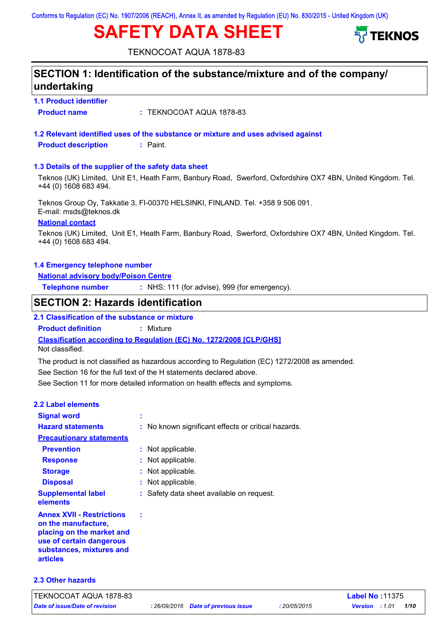# **SAFETY DATA SHEET**



TEKNOCOAT AQUA 1878-83

| SECTION 1: Identification of the substance/mixture and of the company/<br>undertaking |                                                                                                             |  |  |
|---------------------------------------------------------------------------------------|-------------------------------------------------------------------------------------------------------------|--|--|
| <b>1.1 Product identifier</b>                                                         |                                                                                                             |  |  |
| <b>Product name</b>                                                                   | : TEKNOCOAT AQUA 1878-83                                                                                    |  |  |
|                                                                                       | 1.2 Relevant identified uses of the substance or mixture and uses advised against                           |  |  |
| <b>Product description</b>                                                            | $:$ Paint.                                                                                                  |  |  |
| 1.3 Details of the supplier of the safety data sheet                                  |                                                                                                             |  |  |
| +44 (0) 1608 683 494.                                                                 | Teknos (UK) Limited, Unit E1, Heath Farm, Banbury Road, Swerford, Oxfordshire OX7 4BN, United Kingdom. Tel. |  |  |
| E-mail: msds@teknos.dk                                                                | Teknos Group Oy, Takkatie 3, FI-00370 HELSINKI, FINLAND. Tel. +358 9 506 091.                               |  |  |
| <b>National contact</b>                                                               |                                                                                                             |  |  |
| +44 (0) 1608 683 494.                                                                 | Teknos (UK) Limited, Unit E1, Heath Farm, Banbury Road, Swerford, Oxfordshire OX7 4BN, United Kingdom. Tel. |  |  |
| 1.4 Emergency telephone number                                                        |                                                                                                             |  |  |
| <b>National advisory body/Poison Centre</b>                                           |                                                                                                             |  |  |
| <b>Telephone number</b>                                                               | : NHS: 111 (for advise), 999 (for emergency).                                                               |  |  |
| <b>SECTION 2: Hazards identification</b>                                              |                                                                                                             |  |  |
| 2.1 Classification of the substance or mixture                                        |                                                                                                             |  |  |
| <b>Product definition</b>                                                             | : Mixture                                                                                                   |  |  |
| Not classified.                                                                       | <b>Classification according to Regulation (EC) No. 1272/2008 [CLP/GHS]</b>                                  |  |  |
|                                                                                       | The product is not classified as hazardous according to Regulation (EC) 1272/2008 as amended.               |  |  |
|                                                                                       | See Section 16 for the full text of the H statements declared above.                                        |  |  |
|                                                                                       | See Section 11 for more detailed information on health effects and symptoms.                                |  |  |
| <b>2.2 Label elements</b>                                                             |                                                                                                             |  |  |
| <b>Signal word</b>                                                                    |                                                                                                             |  |  |
| <b>Hazard statements</b>                                                              | : No known significant effects or critical hazards.                                                         |  |  |
| <b>Precautionary statements</b>                                                       |                                                                                                             |  |  |
| <b>Prevention</b>                                                                     | : Not applicable.                                                                                           |  |  |
| <b>Response</b>                                                                       | : Not applicable.                                                                                           |  |  |
| <b>Storage</b>                                                                        | Not applicable.                                                                                             |  |  |
|                                                                                       |                                                                                                             |  |  |
| <b>Disposal</b>                                                                       | : Not applicable.                                                                                           |  |  |
| <b>Supplemental label</b><br>elements                                                 | : Safety data sheet available on request.                                                                   |  |  |

## **on the manufacture, placing on the market and use of certain dangerous substances, mixtures and articles**

## **2.3 Other hazards**

*Date of issue/Date of revision* **:** *26/09/2016 Date of previous issue : 20/05/2015 Version : 1.01 1/10* TEKNOCOAT AQUA 1878-83 **Label No :**11375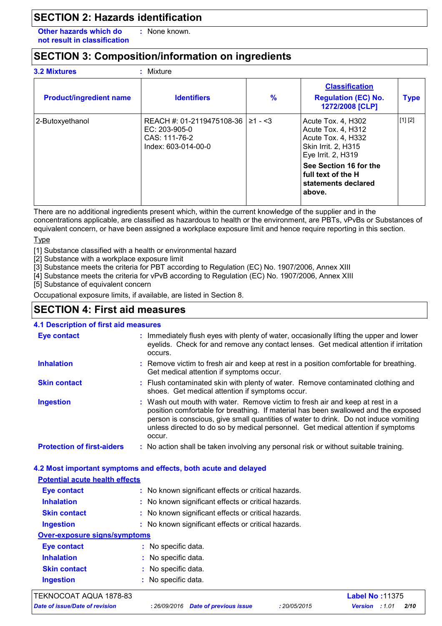# **SECTION 2: Hazards identification**

**Other hazards which do : not result in classification** : None known.

# **SECTION 3: Composition/information on ingredients**

| <b>3.2 Mixtures</b>            | Mixture                                                                            |                   |                                                                                                             |             |  |
|--------------------------------|------------------------------------------------------------------------------------|-------------------|-------------------------------------------------------------------------------------------------------------|-------------|--|
| <b>Product/ingredient name</b> | <b>Identifiers</b>                                                                 | $\frac{9}{6}$     | <b>Classification</b><br><b>Regulation (EC) No.</b><br>1272/2008 [CLP]                                      | <b>Type</b> |  |
| 2-Butoxyethanol                | REACH #: 01-2119475108-36<br>EC: 203-905-0<br>CAS: 111-76-2<br>Index: 603-014-00-0 | $\geq 1 - \leq 3$ | Acute Tox. 4, H302<br>Acute Tox. 4, H312<br>Acute Tox. 4, H332<br>Skin Irrit. 2, H315<br>Eye Irrit. 2, H319 | [1] [2]     |  |
|                                |                                                                                    |                   | See Section 16 for the<br><b>full text of the H</b><br>statements declared<br>above.                        |             |  |
|                                |                                                                                    |                   |                                                                                                             |             |  |

There are no additional ingredients present which, within the current knowledge of the supplier and in the concentrations applicable, are classified as hazardous to health or the environment, are PBTs, vPvBs or Substances of equivalent concern, or have been assigned a workplace exposure limit and hence require reporting in this section.

#### **Type**

[1] Substance classified with a health or environmental hazard

[2] Substance with a workplace exposure limit

[3] Substance meets the criteria for PBT according to Regulation (EC) No. 1907/2006, Annex XIII

- [4] Substance meets the criteria for vPvB according to Regulation (EC) No. 1907/2006, Annex XIII
- [5] Substance of equivalent concern

Occupational exposure limits, if available, are listed in Section 8.

## **SECTION 4: First aid measures**

## **4.1 Description of first aid measures**

| <b>Eye contact</b>                | : Immediately flush eyes with plenty of water, occasionally lifting the upper and lower<br>eyelids. Check for and remove any contact lenses. Get medical attention if irritation<br>occurs.                                                                                                                                                               |
|-----------------------------------|-----------------------------------------------------------------------------------------------------------------------------------------------------------------------------------------------------------------------------------------------------------------------------------------------------------------------------------------------------------|
| <b>Inhalation</b>                 | : Remove victim to fresh air and keep at rest in a position comfortable for breathing.<br>Get medical attention if symptoms occur.                                                                                                                                                                                                                        |
| <b>Skin contact</b>               | : Flush contaminated skin with plenty of water. Remove contaminated clothing and<br>shoes. Get medical attention if symptoms occur.                                                                                                                                                                                                                       |
| <b>Ingestion</b>                  | : Wash out mouth with water. Remove victim to fresh air and keep at rest in a<br>position comfortable for breathing. If material has been swallowed and the exposed<br>person is conscious, give small quantities of water to drink. Do not induce vomiting<br>unless directed to do so by medical personnel. Get medical attention if symptoms<br>occur. |
| <b>Protection of first-aiders</b> | : No action shall be taken involving any personal risk or without suitable training.                                                                                                                                                                                                                                                                      |

## **4.2 Most important symptoms and effects, both acute and delayed Potential acute health effects**

| <b>Eye contact</b>                  | : No known significant effects or critical hazards. |  |
|-------------------------------------|-----------------------------------------------------|--|
| <b>Inhalation</b>                   | : No known significant effects or critical hazards. |  |
| <b>Skin contact</b>                 | : No known significant effects or critical hazards. |  |
| <b>Ingestion</b>                    | : No known significant effects or critical hazards. |  |
| <b>Over-exposure signs/symptoms</b> |                                                     |  |
| <b>Eye contact</b>                  | : No specific data.                                 |  |
| <b>Inhalation</b>                   | : No specific data.                                 |  |
| <b>Skin contact</b>                 | : No specific data.                                 |  |
| <b>Ingestion</b>                    | : No specific data.                                 |  |
|                                     |                                                     |  |

## TEKNOCOAT AQUA 1878-83 **Label No :**11375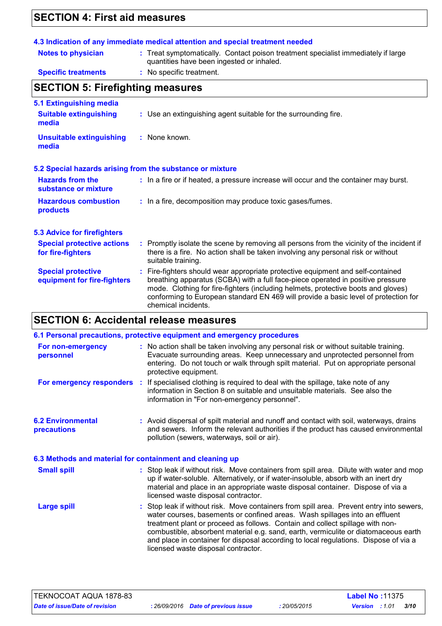# **SECTION 4: First aid measures**

| <b>Notes to physician</b>                                | : Treat symptomatically. Contact poison treatment specialist immediately if large<br>quantities have been ingested or inhaled.                                                                                                                                                                                                                                        |  |
|----------------------------------------------------------|-----------------------------------------------------------------------------------------------------------------------------------------------------------------------------------------------------------------------------------------------------------------------------------------------------------------------------------------------------------------------|--|
| <b>Specific treatments</b>                               | : No specific treatment.                                                                                                                                                                                                                                                                                                                                              |  |
| <b>SECTION 5: Firefighting measures</b>                  |                                                                                                                                                                                                                                                                                                                                                                       |  |
| <b>5.1 Extinguishing media</b>                           |                                                                                                                                                                                                                                                                                                                                                                       |  |
| <b>Suitable extinguishing</b><br>media                   | : Use an extinguishing agent suitable for the surrounding fire.                                                                                                                                                                                                                                                                                                       |  |
| <b>Unsuitable extinguishing</b><br>media                 | : None known.                                                                                                                                                                                                                                                                                                                                                         |  |
|                                                          | 5.2 Special hazards arising from the substance or mixture                                                                                                                                                                                                                                                                                                             |  |
| <b>Hazards from the</b><br>substance or mixture          | : In a fire or if heated, a pressure increase will occur and the container may burst.                                                                                                                                                                                                                                                                                 |  |
| <b>Hazardous combustion</b><br>products                  | : In a fire, decomposition may produce toxic gases/fumes.                                                                                                                                                                                                                                                                                                             |  |
| <b>5.3 Advice for firefighters</b>                       |                                                                                                                                                                                                                                                                                                                                                                       |  |
| <b>Special protective actions</b><br>for fire-fighters   | : Promptly isolate the scene by removing all persons from the vicinity of the incident if<br>there is a fire. No action shall be taken involving any personal risk or without<br>suitable training.                                                                                                                                                                   |  |
| <b>Special protective</b><br>equipment for fire-fighters | : Fire-fighters should wear appropriate protective equipment and self-contained<br>breathing apparatus (SCBA) with a full face-piece operated in positive pressure<br>mode. Clothing for fire-fighters (including helmets, protective boots and gloves)<br>conforming to European standard EN 469 will provide a basic level of protection for<br>chemical incidents. |  |

# **SECTION 6: Accidental release measures**

|                                                          | 6.1 Personal precautions, protective equipment and emergency procedures                                                                                                                                                                                                                                                                                                                                                                                                        |
|----------------------------------------------------------|--------------------------------------------------------------------------------------------------------------------------------------------------------------------------------------------------------------------------------------------------------------------------------------------------------------------------------------------------------------------------------------------------------------------------------------------------------------------------------|
| For non-emergency<br>personnel                           | : No action shall be taken involving any personal risk or without suitable training.<br>Evacuate surrounding areas. Keep unnecessary and unprotected personnel from<br>entering. Do not touch or walk through spilt material. Put on appropriate personal<br>protective equipment.                                                                                                                                                                                             |
|                                                          | For emergency responders : If specialised clothing is required to deal with the spillage, take note of any<br>information in Section 8 on suitable and unsuitable materials. See also the<br>information in "For non-emergency personnel".                                                                                                                                                                                                                                     |
| <b>6.2 Environmental</b><br>precautions                  | : Avoid dispersal of spilt material and runoff and contact with soil, waterways, drains<br>and sewers. Inform the relevant authorities if the product has caused environmental<br>pollution (sewers, waterways, soil or air).                                                                                                                                                                                                                                                  |
| 6.3 Methods and material for containment and cleaning up |                                                                                                                                                                                                                                                                                                                                                                                                                                                                                |
| <b>Small spill</b>                                       | : Stop leak if without risk. Move containers from spill area. Dilute with water and mop<br>up if water-soluble. Alternatively, or if water-insoluble, absorb with an inert dry<br>material and place in an appropriate waste disposal container. Dispose of via a<br>licensed waste disposal contractor.                                                                                                                                                                       |
| <b>Large spill</b>                                       | : Stop leak if without risk. Move containers from spill area. Prevent entry into sewers,<br>water courses, basements or confined areas. Wash spillages into an effluent<br>treatment plant or proceed as follows. Contain and collect spillage with non-<br>combustible, absorbent material e.g. sand, earth, vermiculite or diatomaceous earth<br>and place in container for disposal according to local regulations. Dispose of via a<br>licensed waste disposal contractor. |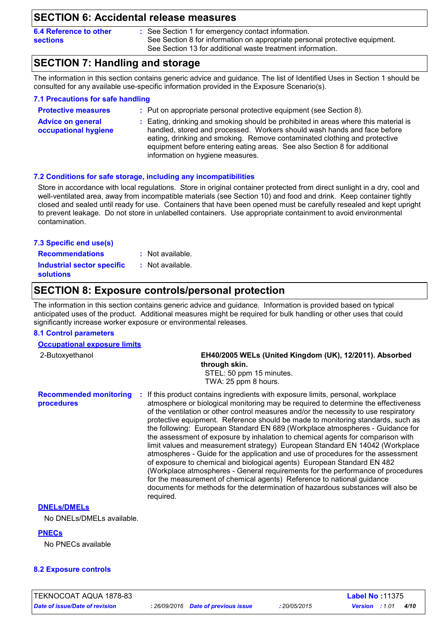## **SECTION 6: Accidental release measures**

| 6.4 Reference to other |  |
|------------------------|--|
| <b>sections</b>        |  |

See Section 1 for emergency contact information. **:** See Section 8 for information on appropriate personal protective equipment. See Section 13 for additional waste treatment information.

# **SECTION 7: Handling and storage**

The information in this section contains generic advice and guidance. The list of Identified Uses in Section 1 should be consulted for any available use-specific information provided in the Exposure Scenario(s).

| 7.1 Precautions for safe handling                |                                                                                                                                                                                                                                                                                                                                                               |
|--------------------------------------------------|---------------------------------------------------------------------------------------------------------------------------------------------------------------------------------------------------------------------------------------------------------------------------------------------------------------------------------------------------------------|
| <b>Protective measures</b>                       | : Put on appropriate personal protective equipment (see Section 8).                                                                                                                                                                                                                                                                                           |
| <b>Advice on general</b><br>occupational hygiene | : Eating, drinking and smoking should be prohibited in areas where this material is<br>handled, stored and processed. Workers should wash hands and face before<br>eating, drinking and smoking. Remove contaminated clothing and protective<br>equipment before entering eating areas. See also Section 8 for additional<br>information on hygiene measures. |

#### **7.2 Conditions for safe storage, including any incompatibilities**

Store in accordance with local regulations. Store in original container protected from direct sunlight in a dry, cool and well-ventilated area, away from incompatible materials (see Section 10) and food and drink. Keep container tightly closed and sealed until ready for use. Containers that have been opened must be carefully resealed and kept upright to prevent leakage. Do not store in unlabelled containers. Use appropriate containment to avoid environmental contamination.

#### **7.3 Specific end use(s)**

**Recommendations : Industrial sector specific :** : Not available.

: Not available.

**solutions**

## **SECTION 8: Exposure controls/personal protection**

The information in this section contains generic advice and guidance. Information is provided based on typical anticipated uses of the product. Additional measures might be required for bulk handling or other uses that could significantly increase worker exposure or environmental releases.

#### **8.1 Control parameters**

**Occupational exposure limits**

| <b>Occupational exposure illillis</b>       |                                                                                                                                                                                                                                                                                                                                                        |  |  |
|---------------------------------------------|--------------------------------------------------------------------------------------------------------------------------------------------------------------------------------------------------------------------------------------------------------------------------------------------------------------------------------------------------------|--|--|
| 2-Butoxyethanol                             | EH40/2005 WELs (United Kingdom (UK), 12/2011). Absorbed<br>through skin.                                                                                                                                                                                                                                                                               |  |  |
|                                             | STEL: 50 ppm 15 minutes.                                                                                                                                                                                                                                                                                                                               |  |  |
|                                             | TWA: 25 ppm 8 hours.                                                                                                                                                                                                                                                                                                                                   |  |  |
| <b>Recommended monitoring</b><br>procedures | If this product contains ingredients with exposure limits, personal, workplace<br>-11<br>atmosphere or biological monitoring may be required to determine the effectiveness<br>of the ventilation or other control measures and/or the necessity to use respiratory<br>protogrive caujoment. Deference abould be made to menitoring etendarde, quab as |  |  |

of the ventilation or other control measures and/or the necessity to use respiratory protective equipment. Reference should be made to monitoring standards, such as the following: European Standard EN 689 (Workplace atmospheres - Guidance for the assessment of exposure by inhalation to chemical agents for comparison with limit values and measurement strategy) European Standard EN 14042 (Workplace atmospheres - Guide for the application and use of procedures for the assessment of exposure to chemical and biological agents) European Standard EN 482 (Workplace atmospheres - General requirements for the performance of procedures for the measurement of chemical agents) Reference to national guidance documents for methods for the determination of hazardous substances will also be required.

#### **DNELs/DMELs**

No DNELs/DMELs available.

## **PNECs**

No PNECs available

## **8.2 Exposure controls**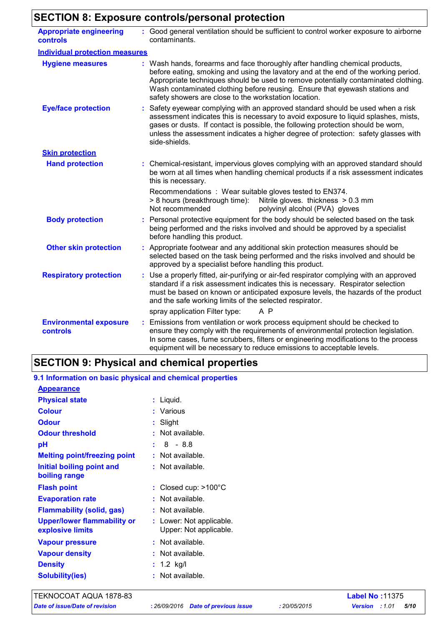# **SECTION 8: Exposure controls/personal protection**

| <b>Appropriate engineering</b><br>controls | : Good general ventilation should be sufficient to control worker exposure to airborne<br>contaminants.                                                                                                                                                                                                                                                                                           |
|--------------------------------------------|---------------------------------------------------------------------------------------------------------------------------------------------------------------------------------------------------------------------------------------------------------------------------------------------------------------------------------------------------------------------------------------------------|
| <b>Individual protection measures</b>      |                                                                                                                                                                                                                                                                                                                                                                                                   |
| <b>Hygiene measures</b>                    | : Wash hands, forearms and face thoroughly after handling chemical products,<br>before eating, smoking and using the lavatory and at the end of the working period.<br>Appropriate techniques should be used to remove potentially contaminated clothing.<br>Wash contaminated clothing before reusing. Ensure that eyewash stations and<br>safety showers are close to the workstation location. |
| <b>Eye/face protection</b>                 | Safety eyewear complying with an approved standard should be used when a risk<br>assessment indicates this is necessary to avoid exposure to liquid splashes, mists,<br>gases or dusts. If contact is possible, the following protection should be worn,<br>unless the assessment indicates a higher degree of protection: safety glasses with<br>side-shields.                                   |
| <b>Skin protection</b>                     |                                                                                                                                                                                                                                                                                                                                                                                                   |
| <b>Hand protection</b>                     | : Chemical-resistant, impervious gloves complying with an approved standard should<br>be worn at all times when handling chemical products if a risk assessment indicates<br>this is necessary.                                                                                                                                                                                                   |
|                                            | Recommendations : Wear suitable gloves tested to EN374.<br>> 8 hours (breakthrough time): Nitrile gloves. thickness > 0.3 mm<br>Not recommended<br>polyvinyl alcohol (PVA) gloves                                                                                                                                                                                                                 |
| <b>Body protection</b>                     | Personal protective equipment for the body should be selected based on the task<br>being performed and the risks involved and should be approved by a specialist<br>before handling this product.                                                                                                                                                                                                 |
| <b>Other skin protection</b>               | : Appropriate footwear and any additional skin protection measures should be<br>selected based on the task being performed and the risks involved and should be<br>approved by a specialist before handling this product.                                                                                                                                                                         |
| <b>Respiratory protection</b>              | : Use a properly fitted, air-purifying or air-fed respirator complying with an approved<br>standard if a risk assessment indicates this is necessary. Respirator selection<br>must be based on known or anticipated exposure levels, the hazards of the product<br>and the safe working limits of the selected respirator.                                                                        |
|                                            | A P<br>spray application Filter type:                                                                                                                                                                                                                                                                                                                                                             |
| <b>Environmental exposure</b><br>controls  | : Emissions from ventilation or work process equipment should be checked to<br>ensure they comply with the requirements of environmental protection legislation.<br>In some cases, fume scrubbers, filters or engineering modifications to the process<br>equipment will be necessary to reduce emissions to acceptable levels.                                                                   |

# **SECTION 9: Physical and chemical properties**

| 9.1 Information on basic physical and chemical properties |                                                    |
|-----------------------------------------------------------|----------------------------------------------------|
| <b>Appearance</b>                                         |                                                    |
| <b>Physical state</b>                                     | : Liquid.                                          |
| <b>Colour</b>                                             | : Various                                          |
| <b>Odour</b>                                              | : Slight                                           |
| <b>Odour threshold</b>                                    | : Not available.                                   |
| pH                                                        | $: 8 - 8.8$                                        |
| <b>Melting point/freezing point</b>                       | $:$ Not available.                                 |
| Initial boiling point and<br>boiling range                | $:$ Not available.                                 |
| <b>Flash point</b>                                        | : Closed cup: $>100^{\circ}$ C                     |
| <b>Evaporation rate</b>                                   | $:$ Not available.                                 |
| <b>Flammability (solid, gas)</b>                          | : Not available.                                   |
| <b>Upper/lower flammability or</b><br>explosive limits    | : Lower: Not applicable.<br>Upper: Not applicable. |
| <b>Vapour pressure</b>                                    | : Not available.                                   |
| <b>Vapour density</b>                                     | : Not available.                                   |
| <b>Density</b>                                            | : $1.2$ kg/l                                       |
| <b>Solubility(ies)</b>                                    | $:$ Not available.                                 |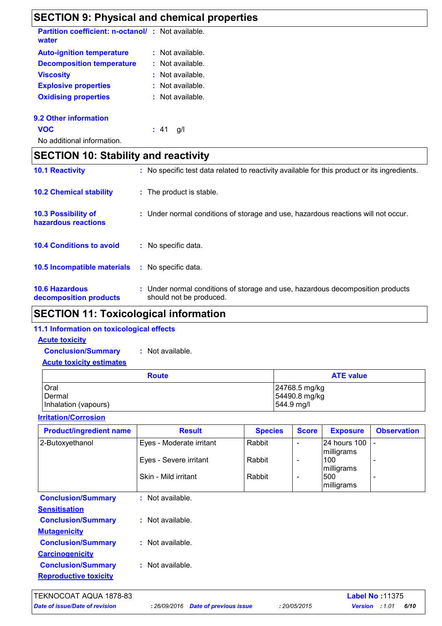# **SECTION 9: Physical and chemical properties**

| <b>Partition coefficient: n-octanol/: Not available.</b><br>water |                |
|-------------------------------------------------------------------|----------------|
| <b>Auto-ignition temperature</b>                                  | Not available. |
| <b>Decomposition temperature</b>                                  | Not available. |
| <b>Viscosity</b>                                                  | Not available. |
| <b>Explosive properties</b>                                       | Not available. |
| <b>Oxidising properties</b>                                       | Not available. |
|                                                                   |                |

## **9.2 Other information**

**VOC :** 41 g/l

No additional information.

# **SECTION 10: Stability and reactivity**

| <b>10.6 Hazardous</b><br>decomposition products   | : Under normal conditions of storage and use, hazardous decomposition products<br>should not be produced. |
|---------------------------------------------------|-----------------------------------------------------------------------------------------------------------|
| <b>10.5 Incompatible materials</b>                | : No specific data.                                                                                       |
| <b>10.4 Conditions to avoid</b>                   | $:$ No specific data.                                                                                     |
| <b>10.3 Possibility of</b><br>hazardous reactions | : Under normal conditions of storage and use, hazardous reactions will not occur.                         |
| <b>10.2 Chemical stability</b>                    | : The product is stable.                                                                                  |
| <b>10.1 Reactivity</b>                            | : No specific test data related to reactivity available for this product or its ingredients.              |

# **SECTION 11: Toxicological information**

## **11.1 Information on toxicological effects**

| <b>Acute toxicity</b>           |                  |
|---------------------------------|------------------|
| <b>Conclusion/Summary</b>       | : Not available. |
| <b>Acute toxicity estimates</b> |                  |
|                                 |                  |

| <b>Route</b>         | <b>ATE value</b>      |
|----------------------|-----------------------|
| Oral                 | 24768.5 mg/kg         |
| Dermal               | 54490.8 mg/kg         |
| Inhalation (vapours) | $ 544.9 \text{ mg}/I$ |

**Irritation/Corrosion**

| <b>Observation</b> |
|--------------------|
|                    |
|                    |
|                    |
|                    |
|                    |
|                    |
|                    |
|                    |
|                    |
|                    |
|                    |
|                    |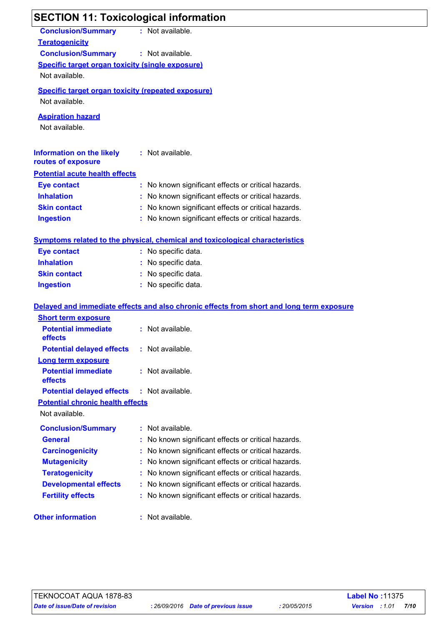| <b>SECTION 11: Toxicological information</b>                                                                                                                 |                                                                                          |
|--------------------------------------------------------------------------------------------------------------------------------------------------------------|------------------------------------------------------------------------------------------|
| <b>Conclusion/Summary</b><br><b>Teratogenicity</b><br><b>Conclusion/Summary</b><br><b>Specific target organ toxicity (single exposure)</b><br>Not available. | : Not available.<br>: Not available.                                                     |
| <b>Specific target organ toxicity (repeated exposure)</b><br>Not available.                                                                                  |                                                                                          |
| <b>Aspiration hazard</b><br>Not available.                                                                                                                   |                                                                                          |
| <b>Information on the likely</b><br>routes of exposure                                                                                                       | : Not available.                                                                         |
| <b>Potential acute health effects</b>                                                                                                                        |                                                                                          |
| <b>Eye contact</b>                                                                                                                                           | No known significant effects or critical hazards.                                        |
| <b>Inhalation</b>                                                                                                                                            | No known significant effects or critical hazards.                                        |
| <b>Skin contact</b>                                                                                                                                          | No known significant effects or critical hazards.                                        |
| <b>Ingestion</b>                                                                                                                                             | : No known significant effects or critical hazards.                                      |
|                                                                                                                                                              | <b>Symptoms related to the physical, chemical and toxicological characteristics</b>      |
| <b>Eye contact</b>                                                                                                                                           | No specific data.                                                                        |
| <b>Inhalation</b>                                                                                                                                            | No specific data.                                                                        |
| <b>Skin contact</b>                                                                                                                                          | No specific data.                                                                        |
| <b>Ingestion</b>                                                                                                                                             | No specific data.                                                                        |
|                                                                                                                                                              | Delayed and immediate effects and also chronic effects from short and long term exposure |
| <b>Short term exposure</b>                                                                                                                                   |                                                                                          |
| <b>Potential immediate</b><br>effects                                                                                                                        | Not available.                                                                           |
| <b>Potential delayed effects</b>                                                                                                                             | : Not available.                                                                         |
| <b>Long term exposure</b>                                                                                                                                    |                                                                                          |
| <b>Potential immediate</b><br>effects                                                                                                                        | Not available.<br>ŧ.                                                                     |
| <b>Potential delayed effects</b>                                                                                                                             | : Not available.                                                                         |
| <b>Potential chronic health effects</b>                                                                                                                      |                                                                                          |
| Not available.                                                                                                                                               |                                                                                          |
| <b>Conclusion/Summary</b>                                                                                                                                    | Not available.<br>÷.                                                                     |
| <b>General</b>                                                                                                                                               | No known significant effects or critical hazards.                                        |
| <b>Carcinogenicity</b>                                                                                                                                       | No known significant effects or critical hazards.                                        |
| <b>Mutagenicity</b>                                                                                                                                          | No known significant effects or critical hazards.                                        |
| <b>Teratogenicity</b>                                                                                                                                        | No known significant effects or critical hazards.                                        |
| <b>Developmental effects</b>                                                                                                                                 | No known significant effects or critical hazards.                                        |
| <b>Fertility effects</b>                                                                                                                                     | No known significant effects or critical hazards.                                        |
| <b>Other information</b>                                                                                                                                     | Not available.                                                                           |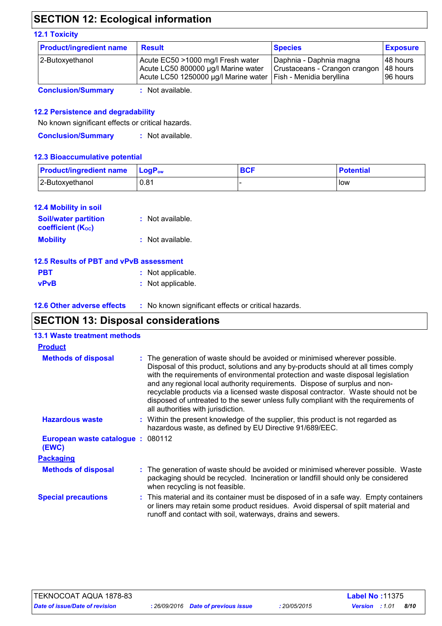# **SECTION 12: Ecological information**

#### **12.1 Toxicity**

| 2-Butoxyethanol | Acute EC50 >1000 mg/l Fresh water<br>Acute LC50 800000 µg/l Marine water<br>Acute LC50 1250000 µg/l Marine water   Fish - Menidia beryllina | Daphnia - Daphnia magna<br>Crustaceans - Crangon crangon | 48 hours<br>48 hours<br>196 hours |
|-----------------|---------------------------------------------------------------------------------------------------------------------------------------------|----------------------------------------------------------|-----------------------------------|

**Conclusion/Summary :** Not available.

## **12.2 Persistence and degradability**

No known significant effects or critical hazards.

**Conclusion/Summary :** Not available.

## **12.3 Bioaccumulative potential**

| <b>Product/ingredient name LogP</b> <sub>ow</sub> |      | <b>BCF</b> | <b>Potential</b> |
|---------------------------------------------------|------|------------|------------------|
| 2-Butoxyethanol                                   | 0.81 |            | l low            |

| <b>12.4 Mobility in soil</b>                            |                  |
|---------------------------------------------------------|------------------|
| <b>Soil/water partition</b><br><b>coefficient (Koc)</b> | : Not available. |
| <b>Mobility</b>                                         | : Not available. |

| 12.5 Results of PBT and vPvB assessment |                   |
|-----------------------------------------|-------------------|
| <b>PBT</b>                              | : Not applicable. |
| <b>vPvB</b>                             | : Not applicable. |

**12.6 Other adverse effects** : No known significant effects or critical hazards.

## **SECTION 13: Disposal considerations**

| <b>13.1 Waste treatment methods</b>       |                                                                                                                                                                                                                                                                                                                                                                                                                                                                                                                                                      |
|-------------------------------------------|------------------------------------------------------------------------------------------------------------------------------------------------------------------------------------------------------------------------------------------------------------------------------------------------------------------------------------------------------------------------------------------------------------------------------------------------------------------------------------------------------------------------------------------------------|
| <b>Product</b>                            |                                                                                                                                                                                                                                                                                                                                                                                                                                                                                                                                                      |
| <b>Methods of disposal</b>                | : The generation of waste should be avoided or minimised wherever possible.<br>Disposal of this product, solutions and any by-products should at all times comply<br>with the requirements of environmental protection and waste disposal legislation<br>and any regional local authority requirements. Dispose of surplus and non-<br>recyclable products via a licensed waste disposal contractor. Waste should not be<br>disposed of untreated to the sewer unless fully compliant with the requirements of<br>all authorities with jurisdiction. |
| <b>Hazardous waste</b>                    | : Within the present knowledge of the supplier, this product is not regarded as<br>hazardous waste, as defined by EU Directive 91/689/EEC.                                                                                                                                                                                                                                                                                                                                                                                                           |
| European waste catalogue: 080112<br>(EWC) |                                                                                                                                                                                                                                                                                                                                                                                                                                                                                                                                                      |
| <b>Packaging</b>                          |                                                                                                                                                                                                                                                                                                                                                                                                                                                                                                                                                      |
| <b>Methods of disposal</b>                | : The generation of waste should be avoided or minimised wherever possible. Waste<br>packaging should be recycled. Incineration or landfill should only be considered<br>when recycling is not feasible.                                                                                                                                                                                                                                                                                                                                             |
| <b>Special precautions</b>                | : This material and its container must be disposed of in a safe way. Empty containers<br>or liners may retain some product residues. Avoid dispersal of spilt material and<br>runoff and contact with soil, waterways, drains and sewers.                                                                                                                                                                                                                                                                                                            |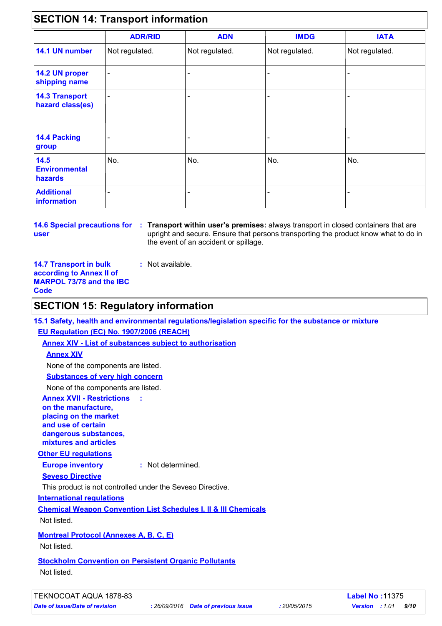# **SECTION 14: Transport information**

|                                           | <b>ADR/RID</b>           | <b>ADN</b>     | <b>IMDG</b>    | <b>IATA</b>    |
|-------------------------------------------|--------------------------|----------------|----------------|----------------|
| 14.1 UN number                            | Not regulated.           | Not regulated. | Not regulated. | Not regulated. |
| 14.2 UN proper<br>shipping name           | $\overline{\phantom{a}}$ |                |                |                |
| <b>14.3 Transport</b><br>hazard class(es) |                          |                |                |                |
| 14.4 Packing<br>group                     |                          |                |                |                |
| 14.5<br><b>Environmental</b><br>hazards   | No.                      | No.            | No.            | No.            |
| <b>Additional</b><br>information          |                          |                |                |                |

**user**

**14.6 Special precautions for : Transport within user's premises: always transport in closed containers that are** upright and secure. Ensure that persons transporting the product know what to do in the event of an accident or spillage.

**14.7 Transport in bulk according to Annex II of MARPOL 73/78 and the IBC Code**

## **SECTION 15: Regulatory information**

**15.1 Safety, health and environmental regulations/legislation specific for the substance or mixture EU Regulation (EC) No. 1907/2006 (REACH)**

**Annex XIV - List of substances subject to authorisation**

## **Annex XIV**

None of the components are listed.

**Substances of very high concern**

None of the components are listed.

**Annex XVII - Restrictions :**

**on the manufacture, placing on the market and use of certain dangerous substances, mixtures and articles**

## **Other EU regulations**

**Europe inventory :** Not determined.

**:** Not available.

## **Seveso Directive**

This product is not controlled under the Seveso Directive.

**International regulations**

**Chemical Weapon Convention List Schedules I, II & III Chemicals**

Not listed.

## **Montreal Protocol (Annexes A, B, C, E)**

Not listed.

**Stockholm Convention on Persistent Organic Pollutants** Not listed.